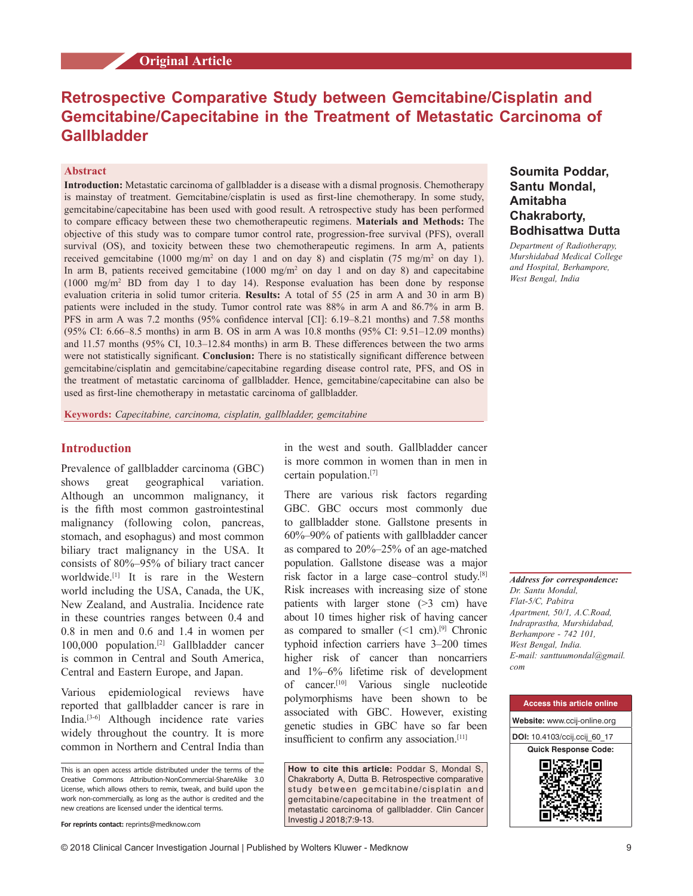# **Retrospective Comparative Study between Gemcitabine/Cisplatin and Gemcitabine/Capecitabine in the Treatment of Metastatic Carcinoma of Gallbladder**

### **Abstract**

**Introduction:** Metastatic carcinoma of gallbladder is a disease with a dismal prognosis. Chemotherapy is mainstay of treatment. Gemcitabine/cisplatin is used as first-line chemotherapy. In some study, gemcitabine/capecitabine has been used with good result. A retrospective study has been performed to compare efficacy between these two chemotherapeutic regimens. **Materials and Methods:** The objective of this study was to compare tumor control rate, progression‑free survival (PFS), overall survival (OS), and toxicity between these two chemotherapeutic regimens. In arm A, patients received gemcitabine (1000 mg/m<sup>2</sup> on day 1 and on day 8) and cisplatin (75 mg/m<sup>2</sup> on day 1). In arm B, patients received gemcitabine  $(1000 \text{ mg/m}^2 \text{ on day 1 and on day 8})$  and capecitabine  $(1000 \text{ mg/m}^2)$  BD from day 1 to day 14). Response evaluation has been done by response evaluation criteria in solid tumor criteria. **Results:** A total of 55 (25 in arm A and 30 in arm B) patients were included in the study. Tumor control rate was 88% in arm A and 86.7% in arm B. PFS in arm A was 7.2 months (95% confidence interval [CI]: 6.19–8.21 months) and 7.58 months (95% CI: 6.66–8.5 months) in arm B. OS in arm A was 10.8 months (95% CI: 9.51–12.09 months) and 11.57 months (95% CI, 10.3–12.84 months) in arm B. These differences between the two arms were not statistically significant. **Conclusion:** There is no statistically significant difference between gemcitabine/cisplatin and gemcitabine/capecitabine regarding disease control rate, PFS, and OS in the treatment of metastatic carcinoma of gallbladder. Hence, gemcitabine/capecitabine can also be used as first-line chemotherapy in metastatic carcinoma of gallbladder.

**Keywords:** *Capecitabine, carcinoma, cisplatin, gallbladder, gemcitabine*

### **Introduction**

Prevalence of gallbladder carcinoma (GBC) shows great geographical variation. Although an uncommon malignancy, it is the fifth most common gastrointestinal malignancy (following colon, pancreas, stomach, and esophagus) and most common biliary tract malignancy in the USA. It consists of 80%–95% of biliary tract cancer worldwide.[1] It is rare in the Western world including the USA, Canada, the UK, New Zealand, and Australia. Incidence rate in these countries ranges between 0.4 and 0.8 in men and 0.6 and 1.4 in women per 100,000 population.[2] Gallbladder cancer is common in Central and South America, Central and Eastern Europe, and Japan.

Various epidemiological reviews have reported that gallbladder cancer is rare in India.[3‑6] Although incidence rate varies widely throughout the country. It is more common in Northern and Central India than

in the west and south. Gallbladder cancer is more common in women than in men in certain population.[7]

There are various risk factors regarding GBC. GBC occurs most commonly due to gallbladder stone. Gallstone presents in 60%–90% of patients with gallbladder cancer as compared to 20%–25% of an age‑matched population. Gallstone disease was a major risk factor in a large case–control study.[8] Risk increases with increasing size of stone patients with larger stone  $(>3$  cm) have about 10 times higher risk of having cancer as compared to smaller  $(<1$  cm).<sup>[9]</sup> Chronic typhoid infection carriers have 3–200 times higher risk of cancer than noncarriers and 1%–6% lifetime risk of development of cancer.[10] Various single nucleotide polymorphisms have been shown to be associated with GBC. However, existing genetic studies in GBC have so far been insufficient to confirm any association.[11]

**How to cite this article:** Poddar S, Mondal S, Chakraborty A, Dutta B. Retrospective comparative study between gemcitabine/cisplatin and gemcitabine/capecitabine in the treatment of metastatic carcinoma of gallbladder. Clin Cancer Investig J 2018;7:9-13.

### **Soumita Poddar, Santu Mondal, Amitabha Chakraborty, Bodhisattwa Dutta**

*Department of Radiotherapy, Murshidabad Medical College and Hospital, Berhampore, West Bengal, India*

*Address for correspondence: Dr. Santu Mondal, Flat‑5/C, Pabitra Apartment, 50/1, A.C.Road, Indraprastha, Murshidabad, Berhampore ‑ 742 101, West Bengal, India. E‑mail: santtuumondal@gmail. com*



This is an open access article distributed under the terms of the Creative Commons Attribution‑NonCommercial‑ShareAlike 3.0 License, which allows others to remix, tweak, and build upon the work non‑commercially, as long as the author is credited and the new creations are licensed under the identical terms.

**For reprints contact:** reprints@medknow.com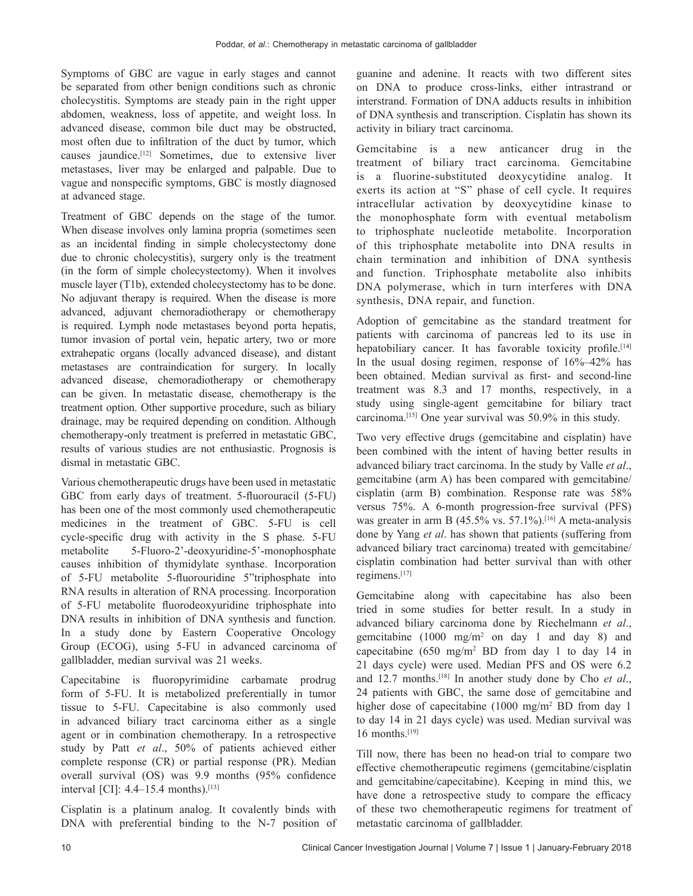Symptoms of GBC are vague in early stages and cannot be separated from other benign conditions such as chronic cholecystitis. Symptoms are steady pain in the right upper abdomen, weakness, loss of appetite, and weight loss. In advanced disease, common bile duct may be obstructed, most often due to infiltration of the duct by tumor, which causes jaundice.[12] Sometimes, due to extensive liver metastases, liver may be enlarged and palpable. Due to vague and nonspecific symptoms, GBC is mostly diagnosed at advanced stage.

Treatment of GBC depends on the stage of the tumor. When disease involves only lamina propria (sometimes seen as an incidental finding in simple cholecystectomy done due to chronic cholecystitis), surgery only is the treatment (in the form of simple cholecystectomy). When it involves muscle layer (T1b), extended cholecystectomy has to be done. No adjuvant therapy is required. When the disease is more advanced, adjuvant chemoradiotherapy or chemotherapy is required. Lymph node metastases beyond porta hepatis, tumor invasion of portal vein, hepatic artery, two or more extrahepatic organs (locally advanced disease), and distant metastases are contraindication for surgery. In locally advanced disease, chemoradiotherapy or chemotherapy can be given. In metastatic disease, chemotherapy is the treatment option. Other supportive procedure, such as biliary drainage, may be required depending on condition. Although chemotherapy‑only treatment is preferred in metastatic GBC, results of various studies are not enthusiastic. Prognosis is dismal in metastatic GBC.

Various chemotherapeutic drugs have been used in metastatic GBC from early days of treatment. 5-fluorouracil (5-FU) has been one of the most commonly used chemotherapeutic medicines in the treatment of GBC. 5‑FU is cell cycle‑specific drug with activity in the S phase. 5‑FU metabolite 5-Fluoro-2'-deoxyuridine-5'-monophosphate causes inhibition of thymidylate synthase. Incorporation of 5‑FU metabolite 5‑fluorouridine 5"triphosphate into RNA results in alteration of RNA processing. Incorporation of 5‑FU metabolite fluorodeoxyuridine triphosphate into DNA results in inhibition of DNA synthesis and function. In a study done by Eastern Cooperative Oncology Group (ECOG), using 5‑FU in advanced carcinoma of gallbladder, median survival was 21 weeks.

Capecitabine is fluoropyrimidine carbamate prodrug form of 5‑FU. It is metabolized preferentially in tumor tissue to 5‑FU. Capecitabine is also commonly used in advanced biliary tract carcinoma either as a single agent or in combination chemotherapy. In a retrospective study by Patt *et al*., 50% of patients achieved either complete response (CR) or partial response (PR). Median overall survival (OS) was 9.9 months (95% confidence interval [CI]:  $4.4 - 15.4$  months).<sup>[13]</sup>

Cisplatin is a platinum analog. It covalently binds with DNA with preferential binding to the N-7 position of guanine and adenine. It reacts with two different sites on DNA to produce cross-links, either intrastrand or interstrand. Formation of DNA adducts results in inhibition of DNA synthesis and transcription. Cisplatin has shown its activity in biliary tract carcinoma.

Gemcitabine is a new anticancer drug in the treatment of biliary tract carcinoma. Gemcitabine is a fluorine‑substituted deoxycytidine analog. It exerts its action at "S" phase of cell cycle. It requires intracellular activation by deoxycytidine kinase to the monophosphate form with eventual metabolism to triphosphate nucleotide metabolite. Incorporation of this triphosphate metabolite into DNA results in chain termination and inhibition of DNA synthesis and function. Triphosphate metabolite also inhibits DNA polymerase, which in turn interferes with DNA synthesis, DNA repair, and function.

Adoption of gemcitabine as the standard treatment for patients with carcinoma of pancreas led to its use in hepatobiliary cancer. It has favorable toxicity profile.<sup>[14]</sup> In the usual dosing regimen, response of 16%–42% has been obtained. Median survival as first- and second-line treatment was 8.3 and 17 months, respectively, in a study using single‑agent gemcitabine for biliary tract carcinoma.[15] One year survival was 50.9% in this study.

Two very effective drugs (gemcitabine and cisplatin) have been combined with the intent of having better results in advanced biliary tract carcinoma. In the study by Valle *et al*., gemcitabine (arm A) has been compared with gemcitabine/ cisplatin (arm B) combination. Response rate was 58% versus 75%. A 6‑month progression‑free survival (PFS) was greater in arm B  $(45.5\% \text{ vs. } 57.1\%)$ .<sup>[16]</sup> A meta-analysis done by Yang *et al*. has shown that patients (suffering from advanced biliary tract carcinoma) treated with gemcitabine/ cisplatin combination had better survival than with other regimens.[17]

Gemcitabine along with capecitabine has also been tried in some studies for better result. In a study in advanced biliary carcinoma done by Riechelmann *et al*., gemcitabine  $(1000 \text{ mg/m}^2 \text{ on day } 1 \text{ and day } 8)$  and capecitabine  $(650 \text{ mg/m}^2 \text{ BD from day 1 to day 14 in}$ 21 days cycle) were used. Median PFS and OS were 6.2 and 12.7 months.[18] In another study done by Cho *et al*., 24 patients with GBC, the same dose of gemcitabine and higher dose of capecitabine (1000 mg/m<sup>2</sup> BD from day 1 to day 14 in 21 days cycle) was used. Median survival was 16 months.[19]

Till now, there has been no head-on trial to compare two effective chemotherapeutic regimens (gemcitabine/cisplatin and gemcitabine/capecitabine). Keeping in mind this, we have done a retrospective study to compare the efficacy of these two chemotherapeutic regimens for treatment of metastatic carcinoma of gallbladder.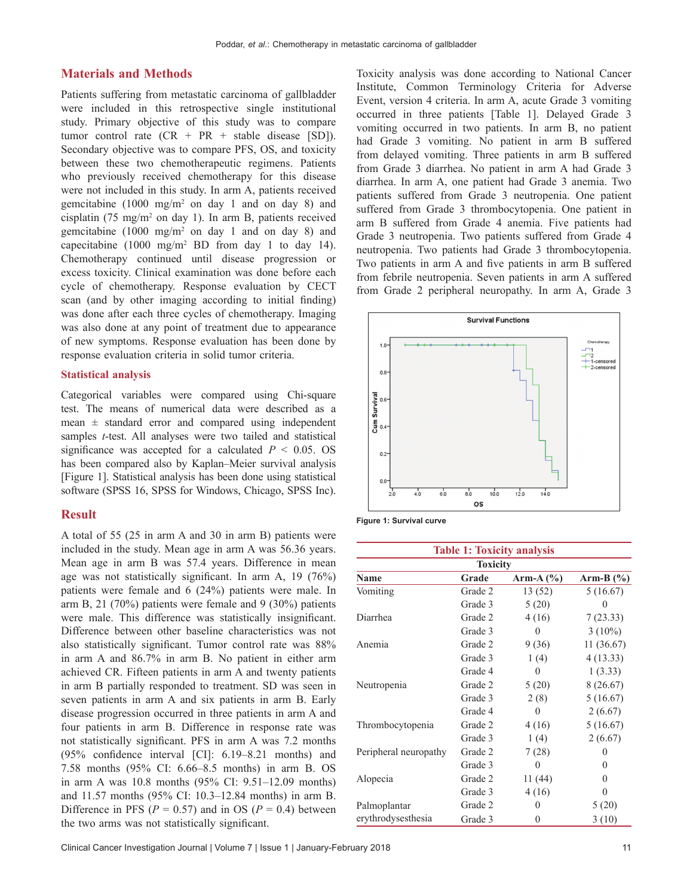#### **Materials and Methods**

Patients suffering from metastatic carcinoma of gallbladder were included in this retrospective single institutional study. Primary objective of this study was to compare tumor control rate  $(CR + PR + stable)$  disease [SD]). Secondary objective was to compare PFS, OS, and toxicity between these two chemotherapeutic regimens. Patients who previously received chemotherapy for this disease were not included in this study. In arm A, patients received gemcitabine  $(1000 \text{ mg/m}^2 \text{ on day } 1 \text{ and on day } 8)$  and cisplatin (75 mg/m2 on day 1). In arm B, patients received gemcitabine  $(1000 \text{ mg/m}^2 \text{ on day } 1 \text{ and on day } 8)$  and capecitabine  $(1000 \text{ mg/m}^2 \text{ BD from day 1 to day 14}).$ Chemotherapy continued until disease progression or excess toxicity. Clinical examination was done before each cycle of chemotherapy. Response evaluation by CECT scan (and by other imaging according to initial finding) was done after each three cycles of chemotherapy. Imaging was also done at any point of treatment due to appearance of new symptoms. Response evaluation has been done by response evaluation criteria in solid tumor criteria.

#### **Statistical analysis**

Categorical variables were compared using Chi-square test. The means of numerical data were described as a mean  $\pm$  standard error and compared using independent samples *t*-test. All analyses were two tailed and statistical significance was accepted for a calculated  $P < 0.05$ . OS has been compared also by Kaplan–Meier survival analysis [Figure 1]. Statistical analysis has been done using statistical software (SPSS 16, SPSS for Windows, Chicago, SPSS Inc).

### **Result**

A total of 55 (25 in arm A and 30 in arm B) patients were included in the study. Mean age in arm A was 56.36 years. Mean age in arm B was 57.4 years. Difference in mean age was not statistically significant. In arm A, 19 (76%) patients were female and 6 (24%) patients were male. In arm B, 21 (70%) patients were female and 9 (30%) patients were male. This difference was statistically insignificant. Difference between other baseline characteristics was not also statistically significant. Tumor control rate was 88% in arm A and 86.7% in arm B. No patient in either arm achieved CR. Fifteen patients in arm A and twenty patients in arm B partially responded to treatment. SD was seen in seven patients in arm A and six patients in arm B. Early disease progression occurred in three patients in arm A and four patients in arm B. Difference in response rate was not statistically significant. PFS in arm A was 7.2 months (95% confidence interval [CI]: 6.19–8.21 months) and 7.58 months (95% CI: 6.66–8.5 months) in arm B. OS in arm A was 10.8 months (95% CI: 9.51–12.09 months) and 11.57 months (95% CI: 10.3–12.84 months) in arm B. Difference in PFS ( $P = 0.57$ ) and in OS ( $P = 0.4$ ) between the two arms was not statistically significant.

Toxicity analysis was done according to National Cancer Institute, Common Terminology Criteria for Adverse Event, version 4 criteria. In arm A, acute Grade 3 vomiting occurred in three patients [Table 1]. Delayed Grade 3 vomiting occurred in two patients. In arm B, no patient had Grade 3 vomiting. No patient in arm B suffered from delayed vomiting. Three patients in arm B suffered from Grade 3 diarrhea. No patient in arm A had Grade 3 diarrhea. In arm A, one patient had Grade 3 anemia. Two patients suffered from Grade 3 neutropenia. One patient suffered from Grade 3 thrombocytopenia. One patient in arm B suffered from Grade 4 anemia. Five patients had Grade 3 neutropenia. Two patients suffered from Grade 4 neutropenia. Two patients had Grade 3 thrombocytopenia. Two patients in arm A and five patients in arm B suffered from febrile neutropenia. Seven patients in arm A suffered from Grade 2 peripheral neuropathy. In arm A, Grade 3





| <b>Table 1: Toxicity analysis</b><br><b>Toxicity</b> |         |          |           |
|------------------------------------------------------|---------|----------|-----------|
|                                                      |         |          |           |
| Vomiting                                             | Grade 2 | 13 (52)  | 5(16.67)  |
|                                                      | Grade 3 | 5(20)    | 0         |
| Diarrhea                                             | Grade 2 | 4(16)    | 7(23.33)  |
|                                                      | Grade 3 | $\theta$ | $3(10\%)$ |
| Anemia                                               | Grade 2 | 9(36)    | 11(36.67) |
|                                                      | Grade 3 | 1(4)     | 4(13.33)  |
|                                                      | Grade 4 | $\theta$ | 1(3.33)   |
| Neutropenia                                          | Grade 2 | 5(20)    | 8(26.67)  |
|                                                      | Grade 3 | 2(8)     | 5(16.67)  |
|                                                      | Grade 4 | $\theta$ | 2(6.67)   |
| Thrombocytopenia                                     | Grade 2 | 4(16)    | 5(16.67)  |
|                                                      | Grade 3 | 1(4)     | 2(6.67)   |
| Peripheral neuropathy                                | Grade 2 | 7(28)    | 0         |
|                                                      | Grade 3 | $\theta$ | 0         |
| Alopecia                                             | Grade 2 | 11(44)   | 0         |
|                                                      | Grade 3 | 4(16)    | 0         |
| Palmoplantar                                         | Grade 2 | $\theta$ | 5(20)     |
| erythrodysesthesia                                   | Grade 3 | 0        | 3(10)     |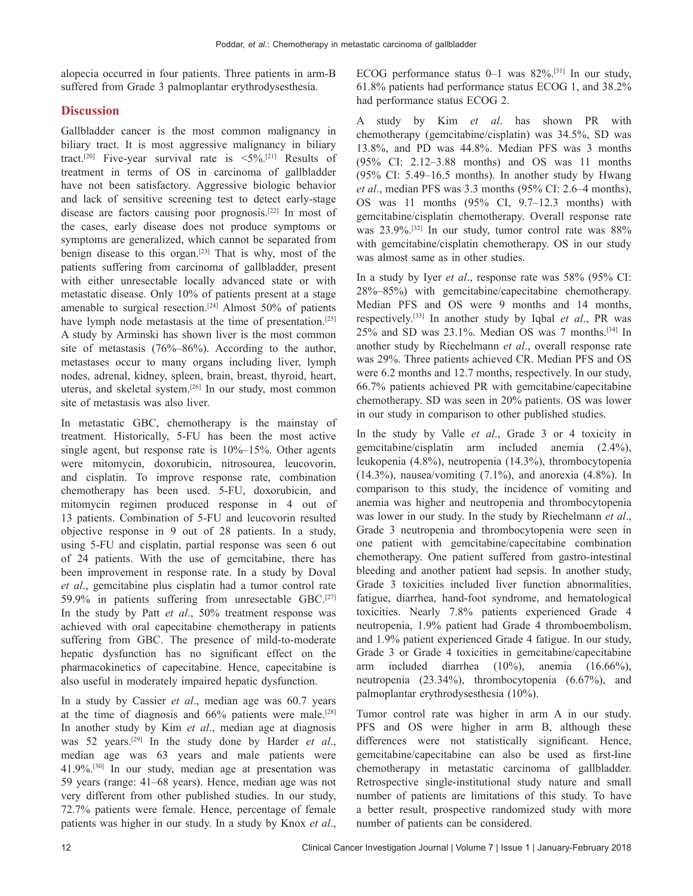alopecia occurred in four patients. Three patients in arm‑B suffered from Grade 3 palmoplantar erythrodysesthesia.

## **Discussion**

Gallbladder cancer is the most common malignancy in biliary tract. It is most aggressive malignancy in biliary tract.<sup>[20]</sup> Five-year survival rate is  $\langle 5\% \rangle$ .<sup>[21]</sup> Results of treatment in terms of OS in carcinoma of gallbladder have not been satisfactory. Aggressive biologic behavior and lack of sensitive screening test to detect early-stage disease are factors causing poor prognosis.[22] In most of the cases, early disease does not produce symptoms or symptoms are generalized, which cannot be separated from benign disease to this organ.[23] That is why, most of the patients suffering from carcinoma of gallbladder, present with either unresectable locally advanced state or with metastatic disease. Only 10% of patients present at a stage amenable to surgical resection.<sup>[24]</sup> Almost 50% of patients have lymph node metastasis at the time of presentation.<sup>[25]</sup> A study by Arminski has shown liver is the most common site of metastasis (76%–86%). According to the author, metastases occur to many organs including liver, lymph nodes, adrenal, kidney, spleen, brain, breast, thyroid, heart, uterus, and skeletal system.[26] In our study, most common site of metastasis was also liver.

In metastatic GBC, chemotherapy is the mainstay of treatment. Historically, 5‑FU has been the most active single agent, but response rate is 10%–15%. Other agents were mitomycin, doxorubicin, nitrosourea, leucovorin, and cisplatin. To improve response rate, combination chemotherapy has been used. 5‑FU, doxorubicin, and mitomycin regimen produced response in 4 out of 13 patients. Combination of 5‑FU and leucovorin resulted objective response in 9 out of 28 patients. In a study, using 5‑FU and cisplatin, partial response was seen 6 out of 24 patients. With the use of gemcitabine, there has been improvement in response rate. In a study by Doval *et al*., gemcitabine plus cisplatin had a tumor control rate 59.9% in patients suffering from unresectable GBC.[27] In the study by Patt *et al*., 50% treatment response was achieved with oral capecitabine chemotherapy in patients suffering from GBC. The presence of mild-to-moderate hepatic dysfunction has no significant effect on the pharmacokinetics of capecitabine. Hence, capecitabine is also useful in moderately impaired hepatic dysfunction.

In a study by Cassier *et al*., median age was 60.7 years at the time of diagnosis and  $66\%$  patients were male.<sup>[28]</sup> In another study by Kim *et al*., median age at diagnosis was 52 years.[29] In the study done by Harder *et al*., median age was 63 years and male patients were 41.9%.[30] In our study, median age at presentation was 59 years (range: 41–68 years). Hence, median age was not very different from other published studies. In our study, 72.7% patients were female. Hence, percentage of female patients was higher in our study. In a study by Knox *et al*.,

ECOG performance status 0–1 was 82%.[31] In our study, 61.8% patients had performance status ECOG 1, and 38.2% had performance status ECOG 2.

A study by Kim *et al*. has shown PR with chemotherapy (gemcitabine/cisplatin) was 34.5%, SD was 13.8%, and PD was 44.8%. Median PFS was 3 months (95% CI: 2.12–3.88 months) and OS was 11 months (95% CI: 5.49–16.5 months). In another study by Hwang *et al*., median PFS was 3.3 months (95% CI: 2.6–4 months), OS was 11 months (95% CI, 9.7–12.3 months) with gemcitabine/cisplatin chemotherapy. Overall response rate was 23.9%.<sup>[32]</sup> In our study, tumor control rate was 88% with gemcitabine/cisplatin chemotherapy. OS in our study was almost same as in other studies.

In a study by Iyer *et al*., response rate was 58% (95% CI: 28%–85%) with gemcitabine/capecitabine chemotherapy. Median PFS and OS were 9 months and 14 months, respectively.[33] In another study by Iqbal *et al*., PR was 25% and SD was 23.1%. Median OS was 7 months.[34] In another study by Riechelmann *et al*., overall response rate was 29%. Three patients achieved CR. Median PFS and OS were 6.2 months and 12.7 months, respectively. In our study, 66.7% patients achieved PR with gemcitabine/capecitabine chemotherapy. SD was seen in 20% patients. OS was lower in our study in comparison to other published studies.

In the study by Valle *et al*., Grade 3 or 4 toxicity in gemcitabine/cisplatin arm included anemia (2.4%), leukopenia (4.8%), neutropenia (14.3%), thrombocytopenia  $(14.3\%)$ , nausea/vomiting  $(7.1\%)$ , and anorexia  $(4.8\%)$ . In comparison to this study, the incidence of vomiting and anemia was higher and neutropenia and thrombocytopenia was lower in our study. In the study by Riechelmann *et al*., Grade 3 neutropenia and thrombocytopenia were seen in one patient with gemcitabine/capecitabine combination chemotherapy. One patient suffered from gastro‑intestinal bleeding and another patient had sepsis. In another study, Grade 3 toxicities included liver function abnormalities, fatigue, diarrhea, hand-foot syndrome, and hematological toxicities. Nearly 7.8% patients experienced Grade 4 neutropenia, 1.9% patient had Grade 4 thromboembolism, and 1.9% patient experienced Grade 4 fatigue. In our study, Grade 3 or Grade 4 toxicities in gemcitabine/capecitabine arm included diarrhea (10%), anemia (16.66%), neutropenia (23.34%), thrombocytopenia (6.67%), and palmoplantar erythrodysesthesia (10%).

Tumor control rate was higher in arm A in our study. PFS and OS were higher in arm B, although these differences were not statistically significant. Hence, gemcitabine/capecitabine can also be used as first-line chemotherapy in metastatic carcinoma of gallbladder. Retrospective single-institutional study nature and small number of patients are limitations of this study. To have a better result, prospective randomized study with more number of patients can be considered.